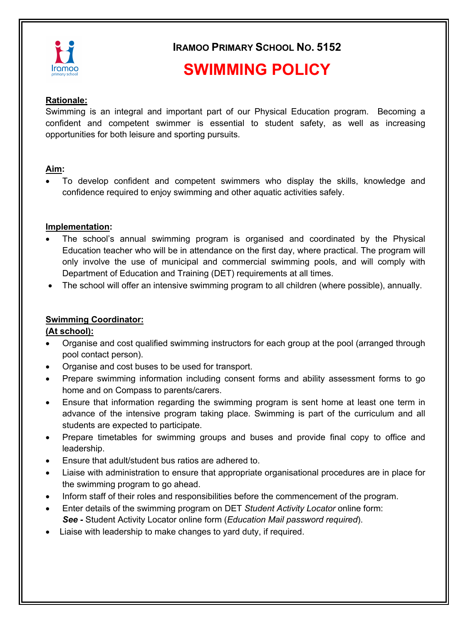

**IRAMOO PRIMARY SCHOOL NO. 5152**

# **SWIMMING POLICY**

#### **Rationale:**

Swimming is an integral and important part of our Physical Education program. Becoming a confident and competent swimmer is essential to student safety, as well as increasing opportunities for both leisure and sporting pursuits.

#### **Aim:**

• To develop confident and competent swimmers who display the skills, knowledge and confidence required to enjoy swimming and other aquatic activities safely.

#### **Implementation:**

- The school's annual swimming program is organised and coordinated by the Physical Education teacher who will be in attendance on the first day, where practical. The program will only involve the use of municipal and commercial swimming pools, and will comply with Department of Education and Training (DET) requirements at all times.
- The school will offer an intensive swimming program to all children (where possible), annually.

### **Swimming Coordinator:**

### **(At school):**

- Organise and cost qualified swimming instructors for each group at the pool (arranged through pool contact person).
- Organise and cost buses to be used for transport.
- Prepare swimming information including consent forms and ability assessment forms to go home and on Compass to parents/carers.
- Ensure that information regarding the swimming program is sent home at least one term in advance of the intensive program taking place. Swimming is part of the curriculum and all students are expected to participate.
- Prepare timetables for swimming groups and buses and provide final copy to office and leadership.
- Ensure that adult/student bus ratios are adhered to.
- Liaise with administration to ensure that appropriate organisational procedures are in place for the swimming program to go ahead.
- Inform staff of their roles and responsibilities before the commencement of the program.
- Enter details of the swimming program on DET *Student Activity Locator* online form: *See -* Student Activity Locator online form (*Education Mail password required*).
- Liaise with leadership to make changes to yard duty, if required.